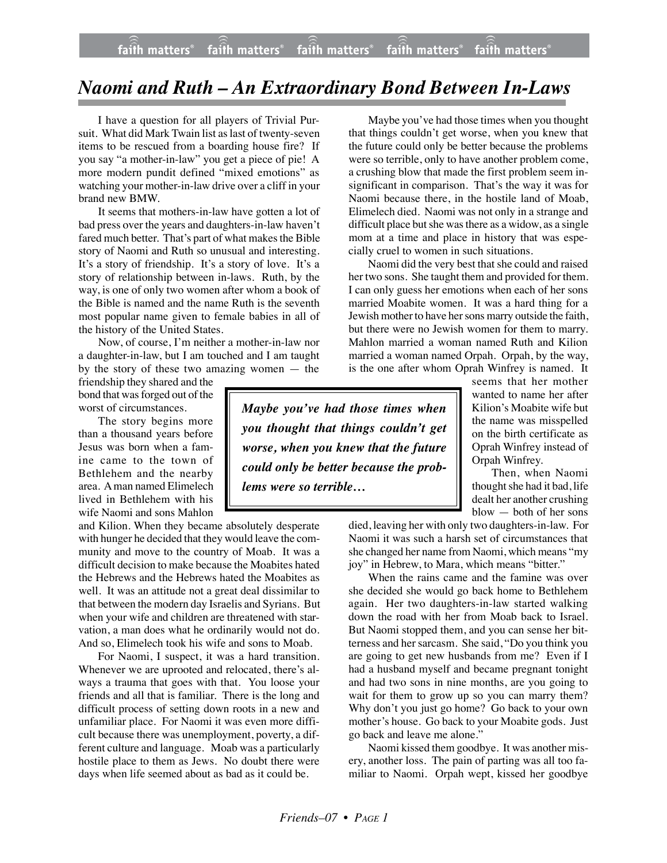## *Naomi and Ruth – An Extraordinary Bond Between In-Laws*

I have a question for all players of Trivial Pursuit. What did Mark Twain list as last of twenty-seven items to be rescued from a boarding house fire? If you say "a mother-in-law" you get a piece of pie! A more modern pundit defined "mixed emotions" as watching your mother-in-law drive over a cliff in your brand new BMW.

It seems that mothers-in-law have gotten a lot of bad press over the years and daughters-in-law haven't fared much better. That's part of what makes the Bible story of Naomi and Ruth so unusual and interesting. It's a story of friendship. It's a story of love. It's a story of relationship between in-laws. Ruth, by the way, is one of only two women after whom a book of the Bible is named and the name Ruth is the seventh most popular name given to female babies in all of the history of the United States.

Now, of course, I'm neither a mother-in-law nor a daughter-in-law, but I am touched and I am taught by the story of these two amazing women — the

friendship they shared and the bond that was forged out of the worst of circumstances.

The story begins more than a thousand years before Jesus was born when a famine came to the town of Bethlehem and the nearby area. A man named Elimelech lived in Bethlehem with his wife Naomi and sons Mahlon

and Kilion. When they became absolutely desperate with hunger he decided that they would leave the community and move to the country of Moab. It was a difficult decision to make because the Moabites hated the Hebrews and the Hebrews hated the Moabites as well. It was an attitude not a great deal dissimilar to that between the modern day Israelis and Syrians. But when your wife and children are threatened with starvation, a man does what he ordinarily would not do. And so, Elimelech took his wife and sons to Moab.

For Naomi, I suspect, it was a hard transition. Whenever we are uprooted and relocated, there's always a trauma that goes with that. You loose your friends and all that is familiar. There is the long and difficult process of setting down roots in a new and unfamiliar place. For Naomi it was even more difficult because there was unemployment, poverty, a different culture and language. Moab was a particularly hostile place to them as Jews. No doubt there were days when life seemed about as bad as it could be.

Maybe you've had those times when you thought that things couldn't get worse, when you knew that the future could only be better because the problems were so terrible, only to have another problem come, a crushing blow that made the first problem seem insignificant in comparison. That's the way it was for Naomi because there, in the hostile land of Moab, Elimelech died. Naomi was not only in a strange and difficult place but she was there as a widow, as a single mom at a time and place in history that was especially cruel to women in such situations.

Naomi did the very best that she could and raised her two sons. She taught them and provided for them. I can only guess her emotions when each of her sons married Moabite women. It was a hard thing for a Jewish mother to have her sons marry outside the faith, but there were no Jewish women for them to marry. Mahlon married a woman named Ruth and Kilion married a woman named Orpah. Orpah, by the way, is the one after whom Oprah Winfrey is named. It

*Maybe you've had those times when you thought that things couldn't get worse, when you knew that the future could only be better because the problems were so terrible…*

seems that her mother wanted to name her after Kilion's Moabite wife but the name was misspelled on the birth certificate as Oprah Winfrey instead of Orpah Winfrey.

Then, when Naomi thought she had it bad, life dealt her another crushing blow — both of her sons

died, leaving her with only two daughters-in-law. For Naomi it was such a harsh set of circumstances that she changed her name from Naomi, which means "my joy" in Hebrew, to Mara, which means "bitter."

When the rains came and the famine was over she decided she would go back home to Bethlehem again. Her two daughters-in-law started walking down the road with her from Moab back to Israel. But Naomi stopped them, and you can sense her bitterness and her sarcasm. She said, "Do you think you are going to get new husbands from me? Even if I had a husband myself and became pregnant tonight and had two sons in nine months, are you going to wait for them to grow up so you can marry them? Why don't you just go home? Go back to your own mother's house. Go back to your Moabite gods. Just go back and leave me alone."

Naomi kissed them goodbye. It was another misery, another loss. The pain of parting was all too familiar to Naomi. Orpah wept, kissed her goodbye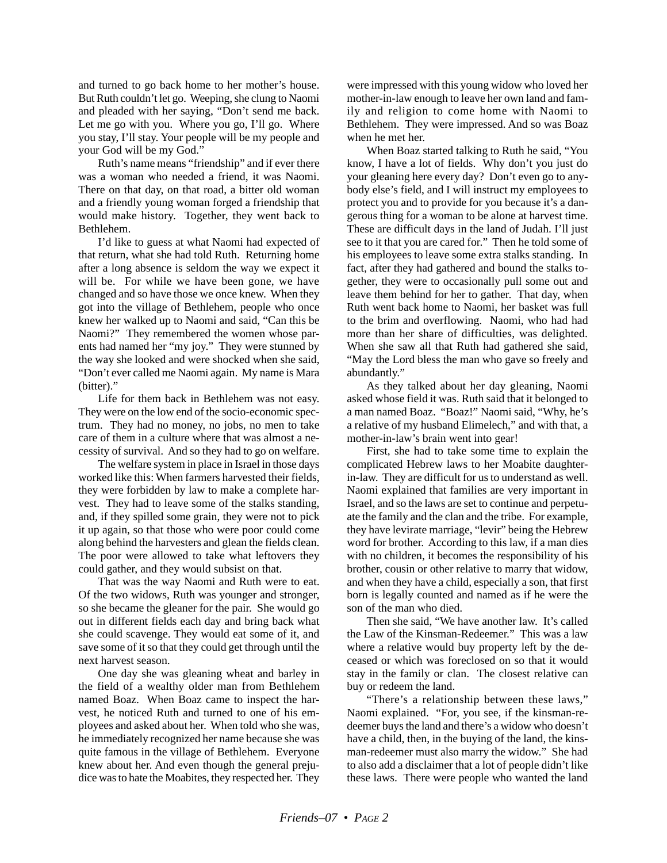and turned to go back home to her mother's house. But Ruth couldn't let go. Weeping, she clung to Naomi and pleaded with her saying, "Don't send me back. Let me go with you. Where you go, I'll go. Where you stay, I'll stay. Your people will be my people and your God will be my God."

Ruth's name means "friendship" and if ever there was a woman who needed a friend, it was Naomi. There on that day, on that road, a bitter old woman and a friendly young woman forged a friendship that would make history. Together, they went back to Bethlehem.

I'd like to guess at what Naomi had expected of that return, what she had told Ruth. Returning home after a long absence is seldom the way we expect it will be. For while we have been gone, we have changed and so have those we once knew. When they got into the village of Bethlehem, people who once knew her walked up to Naomi and said, "Can this be Naomi?" They remembered the women whose parents had named her "my joy." They were stunned by the way she looked and were shocked when she said, "Don't ever called me Naomi again. My name is Mara (bitter)."

Life for them back in Bethlehem was not easy. They were on the low end of the socio-economic spectrum. They had no money, no jobs, no men to take care of them in a culture where that was almost a necessity of survival. And so they had to go on welfare.

The welfare system in place in Israel in those days worked like this: When farmers harvested their fields, they were forbidden by law to make a complete harvest. They had to leave some of the stalks standing, and, if they spilled some grain, they were not to pick it up again, so that those who were poor could come along behind the harvesters and glean the fields clean. The poor were allowed to take what leftovers they could gather, and they would subsist on that.

That was the way Naomi and Ruth were to eat. Of the two widows, Ruth was younger and stronger, so she became the gleaner for the pair. She would go out in different fields each day and bring back what she could scavenge. They would eat some of it, and save some of it so that they could get through until the next harvest season.

One day she was gleaning wheat and barley in the field of a wealthy older man from Bethlehem named Boaz. When Boaz came to inspect the harvest, he noticed Ruth and turned to one of his employees and asked about her. When told who she was, he immediately recognized her name because she was quite famous in the village of Bethlehem. Everyone knew about her. And even though the general prejudice was to hate the Moabites, they respected her. They were impressed with this young widow who loved her mother-in-law enough to leave her own land and family and religion to come home with Naomi to Bethlehem. They were impressed. And so was Boaz when he met her.

When Boaz started talking to Ruth he said, "You know, I have a lot of fields. Why don't you just do your gleaning here every day? Don't even go to anybody else's field, and I will instruct my employees to protect you and to provide for you because it's a dangerous thing for a woman to be alone at harvest time. These are difficult days in the land of Judah. I'll just see to it that you are cared for." Then he told some of his employees to leave some extra stalks standing. In fact, after they had gathered and bound the stalks together, they were to occasionally pull some out and leave them behind for her to gather. That day, when Ruth went back home to Naomi, her basket was full to the brim and overflowing. Naomi, who had had more than her share of difficulties, was delighted. When she saw all that Ruth had gathered she said, "May the Lord bless the man who gave so freely and abundantly."

As they talked about her day gleaning, Naomi asked whose field it was. Ruth said that it belonged to a man named Boaz. "Boaz!" Naomi said, "Why, he's a relative of my husband Elimelech," and with that, a mother-in-law's brain went into gear!

First, she had to take some time to explain the complicated Hebrew laws to her Moabite daughterin-law. They are difficult for us to understand as well. Naomi explained that families are very important in Israel, and so the laws are set to continue and perpetuate the family and the clan and the tribe. For example, they have levirate marriage, "levir" being the Hebrew word for brother. According to this law, if a man dies with no children, it becomes the responsibility of his brother, cousin or other relative to marry that widow, and when they have a child, especially a son, that first born is legally counted and named as if he were the son of the man who died.

Then she said, "We have another law. It's called the Law of the Kinsman-Redeemer." This was a law where a relative would buy property left by the deceased or which was foreclosed on so that it would stay in the family or clan. The closest relative can buy or redeem the land.

"There's a relationship between these laws," Naomi explained. "For, you see, if the kinsman-redeemer buys the land and there's a widow who doesn't have a child, then, in the buying of the land, the kinsman-redeemer must also marry the widow." She had to also add a disclaimer that a lot of people didn't like these laws. There were people who wanted the land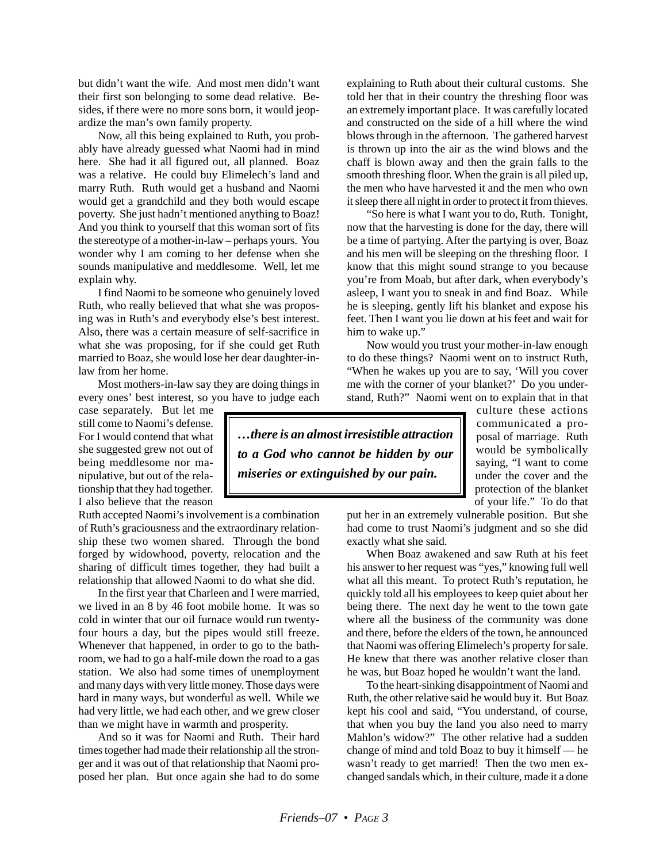but didn't want the wife. And most men didn't want their first son belonging to some dead relative. Besides, if there were no more sons born, it would jeopardize the man's own family property.

Now, all this being explained to Ruth, you probably have already guessed what Naomi had in mind here. She had it all figured out, all planned. Boaz was a relative. He could buy Elimelech's land and marry Ruth. Ruth would get a husband and Naomi would get a grandchild and they both would escape poverty. She just hadn't mentioned anything to Boaz! And you think to yourself that this woman sort of fits the stereotype of a mother-in-law – perhaps yours. You wonder why I am coming to her defense when she sounds manipulative and meddlesome. Well, let me explain why.

I find Naomi to be someone who genuinely loved Ruth, who really believed that what she was proposing was in Ruth's and everybody else's best interest. Also, there was a certain measure of self-sacrifice in what she was proposing, for if she could get Ruth married to Boaz, she would lose her dear daughter-inlaw from her home.

Most mothers-in-law say they are doing things in every ones' best interest, so you have to judge each

case separately. But let me still come to Naomi's defense. For I would contend that what she suggested grew not out of being meddlesome nor manipulative, but out of the relationship that they had together. I also believe that the reason

Ruth accepted Naomi's involvement is a combination of Ruth's graciousness and the extraordinary relationship these two women shared. Through the bond forged by widowhood, poverty, relocation and the sharing of difficult times together, they had built a relationship that allowed Naomi to do what she did.

In the first year that Charleen and I were married, we lived in an 8 by 46 foot mobile home. It was so cold in winter that our oil furnace would run twentyfour hours a day, but the pipes would still freeze. Whenever that happened, in order to go to the bathroom, we had to go a half-mile down the road to a gas station. We also had some times of unemployment and many days with very little money. Those days were hard in many ways, but wonderful as well. While we had very little, we had each other, and we grew closer than we might have in warmth and prosperity.

And so it was for Naomi and Ruth. Their hard times together had made their relationship all the stronger and it was out of that relationship that Naomi proposed her plan. But once again she had to do some explaining to Ruth about their cultural customs. She told her that in their country the threshing floor was an extremely important place. It was carefully located and constructed on the side of a hill where the wind blows through in the afternoon. The gathered harvest is thrown up into the air as the wind blows and the chaff is blown away and then the grain falls to the smooth threshing floor. When the grain is all piled up, the men who have harvested it and the men who own it sleep there all night in order to protect it from thieves.

"So here is what I want you to do, Ruth. Tonight, now that the harvesting is done for the day, there will be a time of partying. After the partying is over, Boaz and his men will be sleeping on the threshing floor. I know that this might sound strange to you because you're from Moab, but after dark, when everybody's asleep, I want you to sneak in and find Boaz. While he is sleeping, gently lift his blanket and expose his feet. Then I want you lie down at his feet and wait for him to wake up."

Now would you trust your mother-in-law enough to do these things? Naomi went on to instruct Ruth, "When he wakes up you are to say, 'Will you cover me with the corner of your blanket?' Do you understand, Ruth?" Naomi went on to explain that in that

*…there is an almost irresistible attraction to a God who cannot be hidden by our miseries or extinguished by our pain.*

culture these actions communicated a proposal of marriage. Ruth would be symbolically saying, "I want to come under the cover and the protection of the blanket of your life." To do that

put her in an extremely vulnerable position. But she had come to trust Naomi's judgment and so she did exactly what she said.

When Boaz awakened and saw Ruth at his feet his answer to her request was "yes," knowing full well what all this meant. To protect Ruth's reputation, he quickly told all his employees to keep quiet about her being there. The next day he went to the town gate where all the business of the community was done and there, before the elders of the town, he announced that Naomi was offering Elimelech's property for sale. He knew that there was another relative closer than he was, but Boaz hoped he wouldn't want the land.

To the heart-sinking disappointment of Naomi and Ruth, the other relative said he would buy it. But Boaz kept his cool and said, "You understand, of course, that when you buy the land you also need to marry Mahlon's widow?" The other relative had a sudden change of mind and told Boaz to buy it himself — he wasn't ready to get married! Then the two men exchanged sandals which, in their culture, made it a done